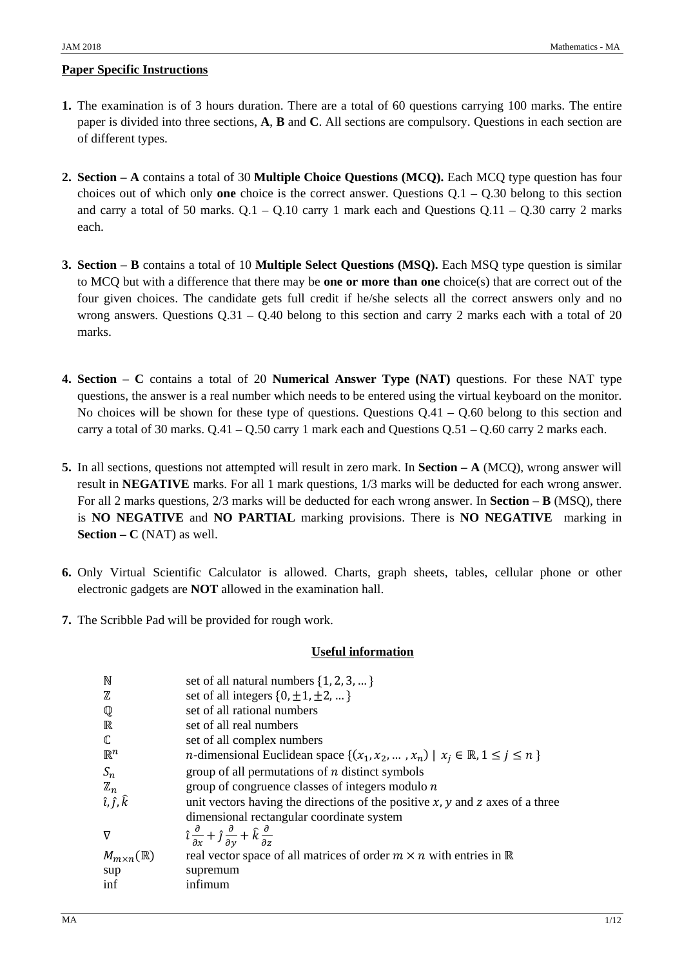### **Paper Specific Instructions**

- **1.** The examination is of 3 hours duration. There are a total of 60 questions carrying 100 marks. The entire paper is divided into three sections, **A**, **B** and **C**. All sections are compulsory. Questions in each section are of different types.
- **2. Section A** contains a total of 30 **Multiple Choice Questions (MCQ).** Each MCQ type question has four choices out of which only **one** choice is the correct answer. Questions Q.1 – Q.30 belong to this section and carry a total of 50 marks.  $Q.1 - Q.10$  carry 1 mark each and Questions  $Q.11 - Q.30$  carry 2 marks each.
- **3. Section B** contains a total of 10 **Multiple Select Questions (MSQ).** Each MSQ type question is similar to MCQ but with a difference that there may be **one or more than one** choice(s) that are correct out of the four given choices. The candidate gets full credit if he/she selects all the correct answers only and no wrong answers. Questions Q.31 – Q.40 belong to this section and carry 2 marks each with a total of 20 marks.
- **4. Section C** contains a total of 20 **Numerical Answer Type (NAT)** questions. For these NAT type questions, the answer is a real number which needs to be entered using the virtual keyboard on the monitor. No choices will be shown for these type of questions. Questions  $Q.41 - Q.60$  belong to this section and carry a total of 30 marks.  $Q.41 - Q.50$  carry 1 mark each and Questions  $Q.51 - Q.60$  carry 2 marks each.
- **5.** In all sections, questions not attempted will result in zero mark. In **Section A** (MCQ), wrong answer will result in **NEGATIVE** marks. For all 1 mark questions, 1/3 marks will be deducted for each wrong answer. For all 2 marks questions, 2/3 marks will be deducted for each wrong answer. In **Section – B** (MSQ), there is **NO NEGATIVE** and **NO PARTIAL** marking provisions. There is **NO NEGATIVE** marking in **Section – C** (NAT) as well.
- **6.** Only Virtual Scientific Calculator is allowed. Charts, graph sheets, tables, cellular phone or other electronic gadgets are **NOT** allowed in the examination hall.
- **7.** The Scribble Pad will be provided for rough work.

### **Useful information**

| set of all natural numbers $\{1, 2, 3, \}$                                                                        |
|-------------------------------------------------------------------------------------------------------------------|
| set of all integers $\{0, \pm 1, \pm 2, \}$                                                                       |
| set of all rational numbers                                                                                       |
| set of all real numbers                                                                                           |
| set of all complex numbers                                                                                        |
| <i>n</i> -dimensional Euclidean space $\{(x_1, x_2, , x_n)   x_i \in \mathbb{R}, 1 \le i \le n\}$                 |
| group of all permutations of $n$ distinct symbols                                                                 |
| group of congruence classes of integers modulo $n$                                                                |
| unit vectors having the directions of the positive $x$ , $y$ and $z$ axes of a three                              |
| dimensional rectangular coordinate system                                                                         |
| $\hat{i} \frac{\partial}{\partial x} + \hat{j} \frac{\partial}{\partial y} + \hat{k} \frac{\partial}{\partial z}$ |
| real vector space of all matrices of order $m \times n$ with entries in $\mathbb R$                               |
| supremum                                                                                                          |
| infimum                                                                                                           |
|                                                                                                                   |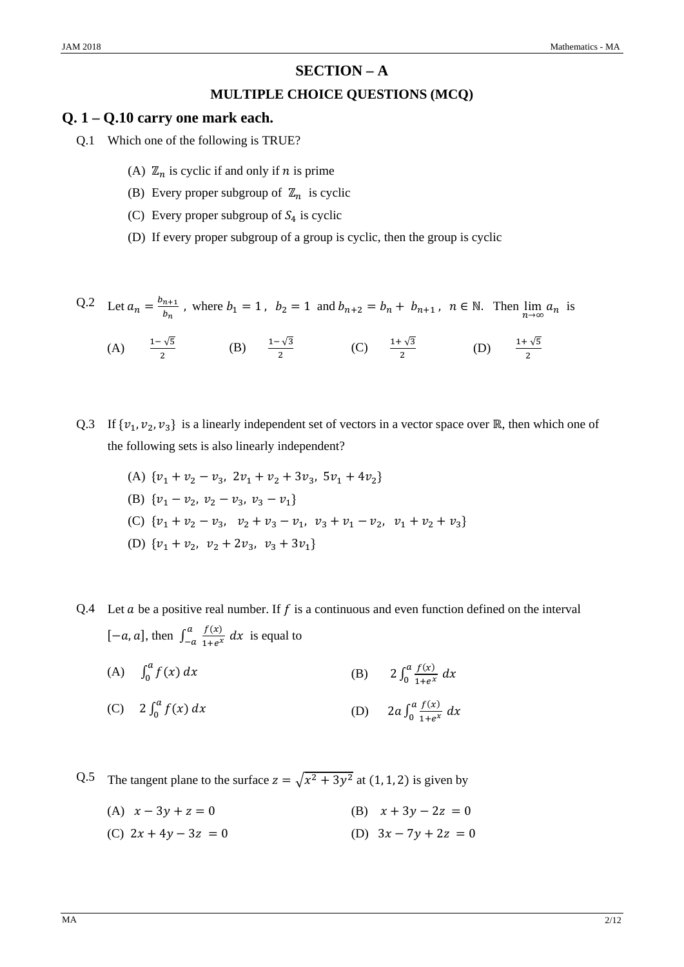## **SECTION – A**

### **MULTIPLE CHOICE QUESTIONS (MCQ)**

### **Q. 1 – Q.10 carry one mark each.**

- Q.1 Which one of the following is TRUE?
	- (A)  $\mathbb{Z}_n$  is cyclic if and only if *n* is prime
	- (B) Every proper subgroup of  $\mathbb{Z}_n$  is cyclic
	- (C) Every proper subgroup of  $S_4$  is cyclic
	- (D) If every proper subgroup of a group is cyclic, then the group is cyclic

Q.2 Let  $a_n = \frac{b_{n+1}}{b_n}$ , where  $b_1 = 1$ ,  $b_2 = 1$  and  $b_{n+2} = b_n + b_{n+1}$ ,  $n \in \mathbb{N}$ . Then  $\lim_{n \to \infty} a_n$  is

(A) 
$$
\frac{1-\sqrt{5}}{2}
$$
 (B)  $\frac{1-\sqrt{3}}{2}$  (C)  $\frac{1+\sqrt{3}}{2}$  (D)  $\frac{1+\sqrt{5}}{2}$ 

- Q.3 If  $\{v_1, v_2, v_3\}$  is a linearly independent set of vectors in a vector space over ℝ, then which one of the following sets is also linearly independent?
	- (A)  $\{v_1 + v_2 v_3, 2v_1 + v_2 + 3v_3, 5v_1 + 4v_2\}$
	- (B)  $\{v_1 v_2, v_2 v_3, v_3 v_1\}$
	- (C)  $\{v_1 + v_2 v_3, v_2 + v_3 v_1, v_3 + v_1 v_2, v_1 + v_2 + v_3\}$
	- (D)  $\{v_1 + v_2, v_2 + 2v_3, v_3 + 3v_1\}$

Q.4 Let  $\alpha$  be a positive real number. If  $f$  is a continuous and even function defined on the interval  $[-a, a]$ , then  $\int_{-a}^{a} \frac{f(x)}{1 + e^{x}} dx$  is equal to

- (A)  $\int_0^a f(x) dx$  $\int_0^a f(x) dx$  (B)  $2 \int_0^a \frac{f(x)}{1 + e^x} dx$
- (C)  $2 \int_0^a f(x) dx$  $\int_0^a f(x) dx$  (D)  $2a \int_0^a \frac{f(x)}{1 + e^x} dx$

Q.5 The tangent plane to the surface  $z = \sqrt{x^2 + 3y^2}$  at (1, 1, 2) is given by

(A)  $x - 3y + z = 0$  (B)  $x + 3y - 2z = 0$ 

(C)  $2x + 4y - 3z = 0$  (D)  $3x - 7y + 2z = 0$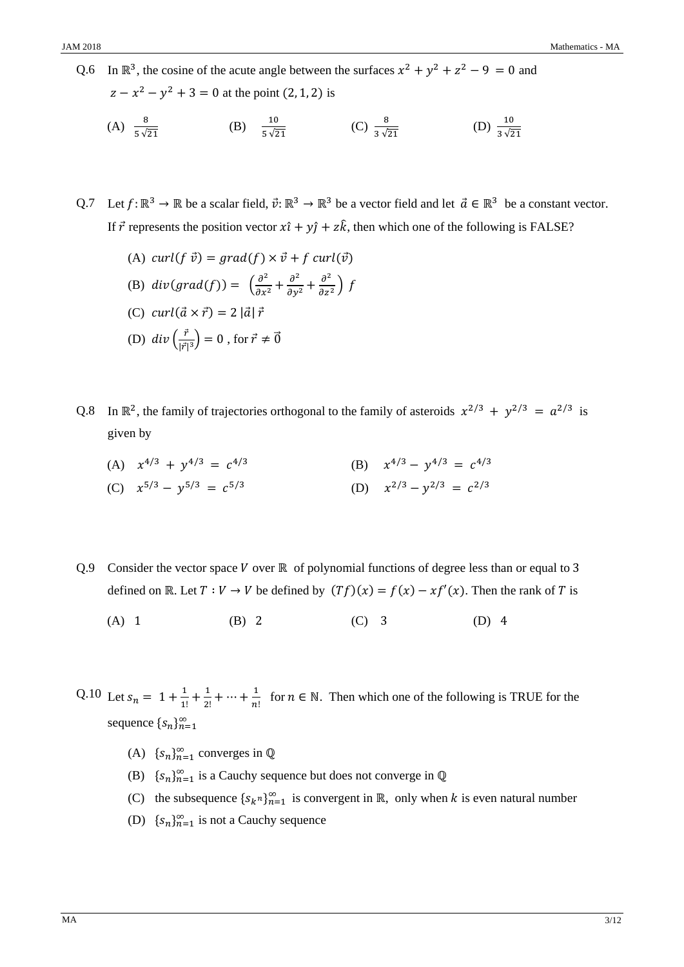Q.6 In  $\mathbb{R}^3$ , the cosine of the acute angle between the surfaces  $x^2 + y^2 + z^2 - 9 = 0$  and  $z - x^2 - y^2 + 3 = 0$  at the point (2, 1, 2) is  $(A) \frac{8}{5\sqrt{21}}$ (B)  $\frac{10}{5\sqrt{21}}$  $\frac{10}{5\sqrt{21}}$  (C)  $\frac{8}{3\sqrt{21}}$  (D)  $\frac{10}{3\sqrt{21}}$ 

Q.7 Let  $f: \mathbb{R}^3 \to \mathbb{R}$  be a scalar field,  $\vec{v}: \mathbb{R}^3 \to \mathbb{R}^3$  be a vector field and let  $\vec{a} \in \mathbb{R}^3$  be a constant vector. If  $\vec{r}$  represents the position vector  $x\hat{i} + y\hat{j} + z\hat{k}$ , then which one of the following is FALSE?

- (A) curl( $f \vec{v}$ ) = grad( $f$ )  $\times \vec{v}$  +  $f$  curl( $\vec{v}$ ) (B)  $div(grad(f)) = \left(\frac{\partial^2}{\partial x^2} + \frac{\partial^2}{\partial y^2} + \frac{\partial^2}{\partial z^2}\right) f$ (C)  $curl(\vec{a} \times \vec{r}) = 2 |\vec{a}| \vec{r}$ (D)  $div\left(\frac{\vec{r}}{|\vec{r}|^3}\right) = 0$ , for  $\vec{r} \neq \vec{0}$
- Q.8 In  $\mathbb{R}^2$ , the family of trajectories orthogonal to the family of asteroids  $x^{2/3} + y^{2/3} = a^{2/3}$  is given by
	- (A)  $x^{4/3} + y^{4/3} = c^{4/3}$  (B)  $x^{4/3} y^{4/3} = c^{4/3}$ (C)  $x^{5/3} - v^{5/3} = c^{5/3}$  (D)  $x^{2/3} - v^{2/3} = c^{2/3}$
- Q.9 Consider the vector space  $V$  over  $\mathbb R$  of polynomial functions of degree less than or equal to 3 defined on ℝ. Let  $T: V \to V$  be defined by  $(Tf)(x) = f(x) - xf'(x)$ . Then the rank of T is
	- (A) 1 (B) 2 (C) 3 (D) 4

Q.10 Let  $s_n = 1 + \frac{1}{1!} + \frac{1}{2!} + \dots + \frac{1}{n!}$  for  $n \in \mathbb{N}$ . Then which one of the following is TRUE for the sequence  $\{s_n\}_{n=1}^{\infty}$ 

- (A)  $\{s_n\}_{n=1}^{\infty}$  converges in  $\mathbb Q$
- (B)  $\{s_n\}_{n=1}^{\infty}$  is a Cauchy sequence but does not converge in  $\mathbb Q$
- (C) the subsequence  $\{s_{k}n\}_{n=1}^{\infty}$  is convergent in ℝ, only when *k* is even natural number
- (D)  $\{s_n\}_{n=1}^{\infty}$  is not a Cauchy sequence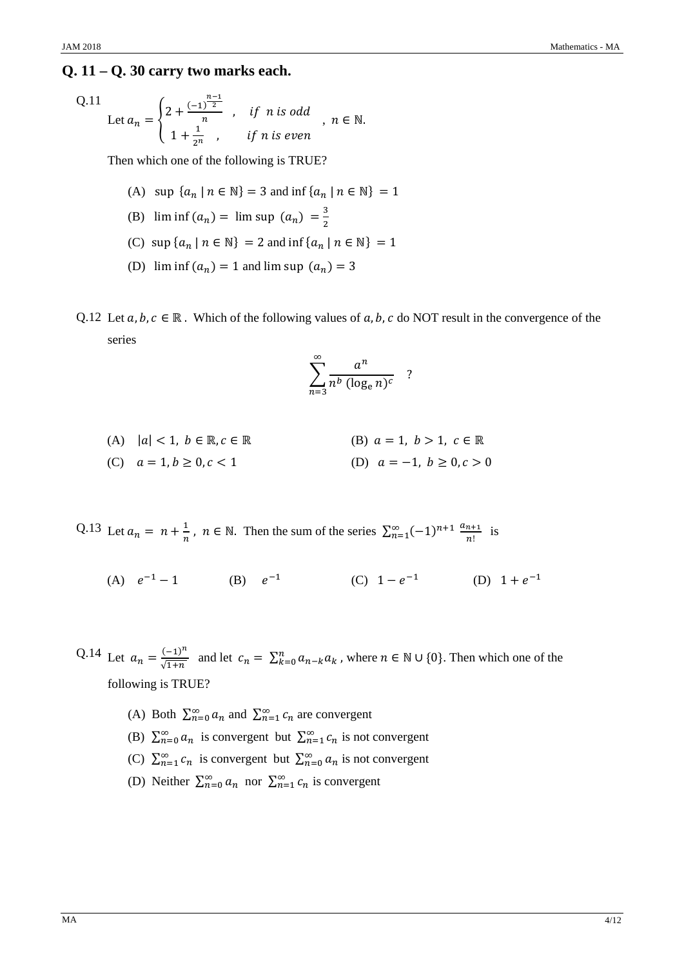## **Q. 11 – Q. 30 carry two marks each.**

$$
Q.11
$$

Let 
$$
a_n = \begin{cases} 2 + \frac{(-1)^{\frac{n-1}{2}}}{n} & , \text{ if } n \text{ is odd} \\ 1 + \frac{1}{2^n} & , \text{ if } n \text{ is even} \end{cases}
$$
,  $n \in \mathbb{N}$ .

Then which one of the following is TRUE?

- (A) sup  $\{a_n \mid n \in \mathbb{N}\} = 3$  and inf  $\{a_n \mid n \in \mathbb{N}\} = 1$
- (B)  $\liminf (a_n) = \limsup (a_n) = \frac{3}{2}$
- (C) sup  $\{a_n \mid n \in \mathbb{N}\} = 2$  and inf  $\{a_n \mid n \in \mathbb{N}\} = 1$
- (D)  $\liminf (a_n) = 1$  and  $\limsup (a_n) = 3$
- Q.12 Let  $a, b, c \in \mathbb{R}$ . Which of the following values of  $a, b, c$  do NOT result in the convergence of the series

$$
\sum_{n=3}^{\infty} \frac{a^n}{n^b (\log_e n)^c}
$$
?

- (A)  $|a| < 1, b \in \mathbb{R}, c \in \mathbb{R}$  (B)  $a = 1, b > 1, c \in \mathbb{R}$ (C)  $a = 1, b \ge 0, c < 1$ <br>(D)  $a = -1, b \ge 0, c > 0$
- Q.13 Let  $a_n = n + \frac{1}{n}$ ,  $n \in \mathbb{N}$ . Then the sum of the series  $\sum_{n=1}^{\infty} (-1)^{n+1} \frac{a_{n+1}}{n!}$  $\sum_{n=1}^{\infty} (-1)^{n+1} \frac{a_{n+1}}{n!}$  is
	- (A)  $e^{-1} 1$  (B)  $e^{-1}$  (C)  $1 e^{-1}$  (D)  $1 + e^{-1}$

Q.14 Let  $a_n = \frac{(-1)^n}{\sqrt{1+n}}$  and let  $c_n = \sum_{k=0}^n a_{n-k} a_k$ , where  $n \in \mathbb{N} \cup \{0\}$ . Then which one of the following is TRUE?

- (A) Both  $\sum_{n=0}^{\infty} a_n$  and  $\sum_{n=1}^{\infty} c_n$  are convergent
- (B)  $\sum_{n=0}^{\infty} a_n$  is convergent but  $\sum_{n=1}^{\infty} c_n$  is not convergent
- (C)  $\sum_{n=1}^{\infty} c_n$  is convergent but  $\sum_{n=0}^{\infty} a_n$  is not convergent
- (D) Neither  $\sum_{n=0}^{\infty} a_n$  nor  $\sum_{n=1}^{\infty} c_n$  is convergent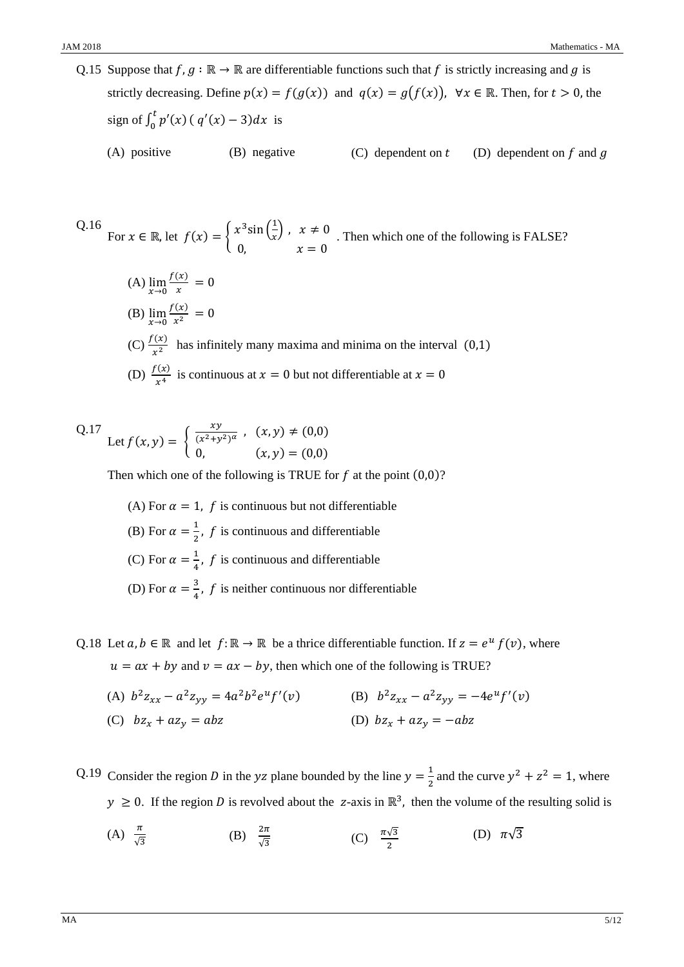Q.15 Suppose that  $f, g : \mathbb{R} \to \mathbb{R}$  are differentiable functions such that f is strictly increasing and g is strictly decreasing. Define  $p(x) = f(g(x))$  and  $q(x) = g(f(x))$ ,  $\forall x \in \mathbb{R}$ . Then, for  $t > 0$ , the sign of  $\int_0^t p'(x) (q'(x) - 3) dx$  is

(A) positive (B) negative (C) dependent on  $t$  (D) dependent on  $f$  and  $g$ 

Q.16 For 
$$
x \in \mathbb{R}
$$
, let  $f(x) = \begin{cases} x^3 \sin(\frac{1}{x}) & x \neq 0 \\ 0 & x = 0 \end{cases}$ . Then which one of the following is FALSE?

(A)  $\lim_{x\to 0}$  $\frac{f(x)}{x} = 0$ (B)  $\lim_{x\to 0}$  $\frac{f(x)}{x^2} = 0$ (C)  $\frac{f(x)}{x^2}$  has infinitely many maxima and minima on the interval (0,1) (D)  $\frac{f(x)}{x^4}$  is continuous at  $x=0$  but not differentiable at  $x=0$ 

Q.17 Let 
$$
f(x, y) = \begin{cases} \frac{xy}{(x^2 + y^2)^{\alpha}}, & (x, y) \neq (0, 0) \\ 0, & (x, y) = (0, 0) \end{cases}
$$

Then which one of the following is TRUE for  $f$  at the point  $(0,0)$ ?

- (A) For  $\alpha = 1$ , f is continuous but not differentiable (B) For  $\alpha = \frac{1}{2}$ , f is continuous and differentiable (C) For  $\alpha = \frac{1}{4}$ , f is continuous and differentiable (D) For  $\alpha = \frac{3}{4}$ , f is neither continuous nor differentiable
- Q.18 Let  $a, b \in \mathbb{R}$  and let  $f: \mathbb{R} \to \mathbb{R}$  be a thrice differentiable function. If  $z = e^u f(v)$ , where  $u = ax + by$  and  $v = ax - by$ , then which one of the following is TRUE?
	- (A)  $b^2 z_{xx} a^2 z_{yy} = 4a^2 b^2 e^u f'(v)$  (B)  $b^2 z_{xx} a^2 z_{yy} = -4e^u f'(v)$ (D)  $bz_x + az_y = -abz$  $(C)$   $bz_x + az_y = abz$

Q.19 Consider the region D in the yz plane bounded by the line  $y = \frac{1}{2}$  $\frac{1}{2}$  and the curve  $y^2 + z^2 = 1$ , where  $y \ge 0$ . If the region D is revolved about the z-axis in  $\mathbb{R}^3$ , then the volume of the resulting solid is

(A) 
$$
\frac{\pi}{\sqrt{3}}
$$
 \t\t (B)  $\frac{2\pi}{\sqrt{3}}$  \t\t (C)  $\frac{\pi\sqrt{3}}{2}$  \t\t (D)  $\pi\sqrt{3}$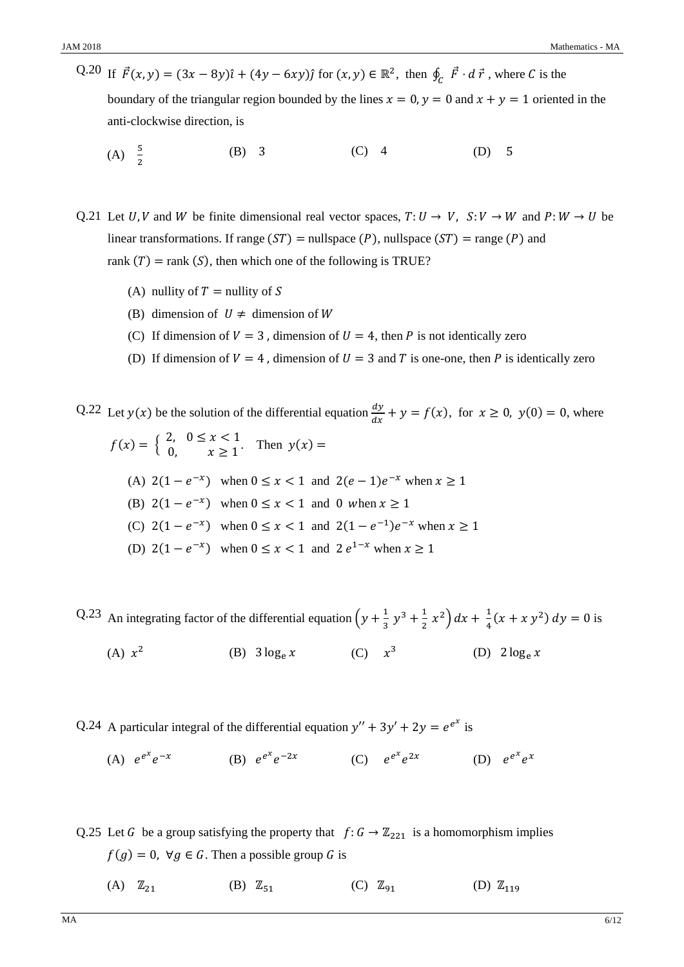- Q.20 If  $\vec{F}(x, y) = (3x 8y)\hat{i} + (4y 6xy)\hat{j}$  for  $(x, y) \in \mathbb{R}^2$ , then  $\oint_C \vec{F} \cdot d\vec{r}$ , where C is the boundary of the triangular region bounded by the lines  $x = 0$ ,  $y = 0$  and  $x + y = 1$  oriented in the anti-clockwise direction, is
	- (A)  $\frac{5}{2}$ (B) 3 (C) 4 (D) 5

Q.21 Let U, V and W be finite dimensional real vector spaces,  $T: U \to V$ ,  $S: V \to W$  and  $P: W \to U$  be linear transformations. If range  $(ST)$  = nullspace  $(P)$ , nullspace  $(ST)$  = range  $(P)$  and rank  $(T)$  = rank  $(S)$ , then which one of the following is TRUE?

- (A) nullity of  $T =$  nullity of S
- (B) dimension of  $U \neq$  dimension of W
- (C) If dimension of  $V=3$ , dimension of  $U=4$ , then P is not identically zero
- (D) If dimension of  $V = 4$ , dimension of  $U = 3$  and T is one-one, then P is identically zero

Q.22 Let  $y(x)$  be the solution of the differential equation  $\frac{dy}{dx} + y = f(x)$ , for  $x \ge 0$ ,  $y(0) = 0$ , where

$$
f(x) = \begin{cases} 2, & 0 \le x < 1 \\ 0, & x \ge 1 \end{cases}
$$
 Then  $y(x) =$   
\n(A) 2(1 - e<sup>-x</sup>) when  $0 \le x < 1$  and 2(e - 1)e<sup>-x</sup> when  $x \ge 1$   
\n(B) 2(1 - e<sup>-x</sup>) when  $0 \le x < 1$  and 0 when  $x \ge 1$   
\n(C) 2(1 - e<sup>-x</sup>) when  $0 \le x < 1$  and 2(1 - e<sup>-1</sup>)e<sup>-x</sup> when  $x \ge 1$   
\n(D) 2(1 - e<sup>-x</sup>) when  $0 \le x < 1$  and 2e<sup>1-x</sup> when  $x \ge 1$ 

Q.23 An integrating factor of the differential equation  $\left(y + \frac{1}{3}y^3 + \frac{1}{2}\right)$  $\int x^2 dx + \frac{1}{4}(x + x y^2) dy = 0$  is

(A)  $x^2$  (B)  $3 \log_e x$  (C)  $x^3$  (D)  $2 \log_e x$ 

Q.24 A particular integral of the differential equation  $y'' + 3y' + 2y = e^{e^x}$  is

(A)  $e^{e^x}e^{-x}$  $e^{-x}$  (B)  $e^{e^x}e^{-2x}$  (C)  $e^{e^x}e^{2x}$  (D)  $e^{e^x}e^x$ 

Q.25 Let G be a group satisfying the property that  $f: G \to \mathbb{Z}_{221}$  is a homomorphism implies  $f(g) = 0$ ,  $\forall g \in G$ . Then a possible group G is

(A)  $\mathbb{Z}_{21}$  (B)  $\mathbb{Z}_{51}$  (C)  $\mathbb{Z}_{91}$  (D)  $\mathbb{Z}_{119}$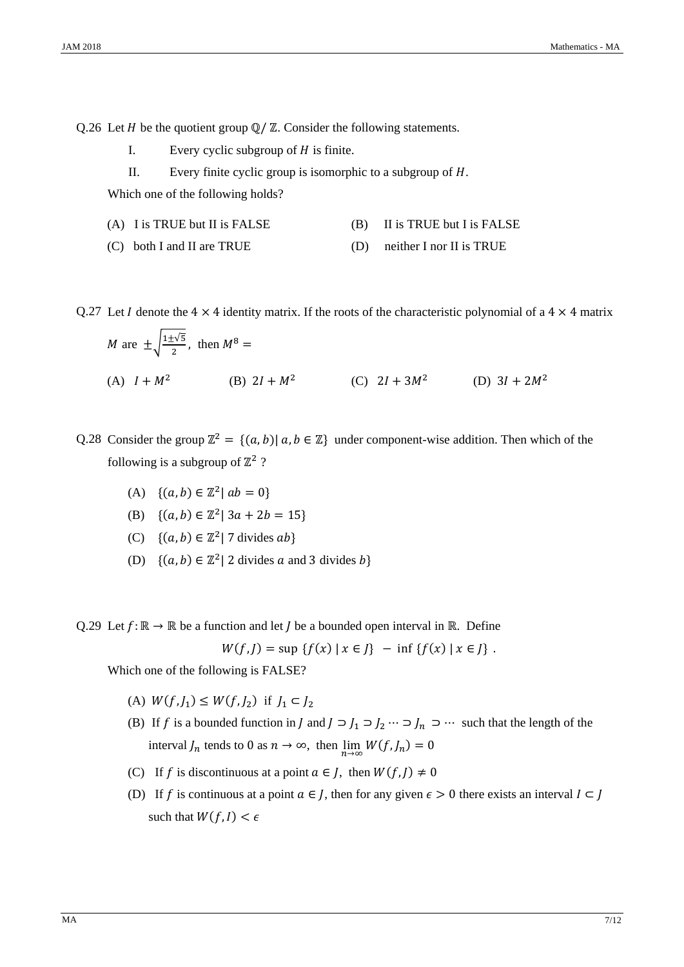Q.26 Let  $H$  be the quotient group  $\mathbb{Q}/\mathbb{Z}$ . Consider the following statements.

- I. Every cyclic subgroup of  $H$  is finite.
- II. Every finite cyclic group is isomorphic to a subgroup of  $H$ .

Which one of the following holds?

| (A) I is TRUE but II is FALSE |  | (B) II is TRUE but I is FALSE |
|-------------------------------|--|-------------------------------|
|-------------------------------|--|-------------------------------|

(C) both I and II are TRUE (D) neither I nor II is TRUE

Q.27 Let I denote the  $4 \times 4$  identity matrix. If the roots of the characteristic polynomial of a  $4 \times 4$  matrix

*M* are 
$$
\pm \sqrt{\frac{1 \pm \sqrt{5}}{2}}
$$
, then  $M^8 =$   
\n(A)  $I + M^2$  \n(B)  $2I + M^2$  \n(C)  $2I + 3M^2$  \n(D)  $3I + 2M^2$ 

Q.28 Consider the group  $\mathbb{Z}^2 = \{(a, b) | a, b \in \mathbb{Z}\}\$  under component-wise addition. Then which of the following is a subgroup of  $\mathbb{Z}^2$  ?

- (A)  $\{(a, b) \in \mathbb{Z}^2 | ab = 0\}$
- (B)  $\{(a, b) \in \mathbb{Z}^2 \mid 3a + 2b = 15\}$
- (C)  $\{(a, b) \in \mathbb{Z}^2 | 7 \text{ divides } ab\}$
- (D)  $\{(a, b) \in \mathbb{Z}^2 | 2 \text{ divides } a \text{ and } 3 \text{ divides } b\}$

Q.29 Let  $f: \mathbb{R} \to \mathbb{R}$  be a function and let *J* be a bounded open interval in R. Define

 $W(f, I) = \sup \{f(x) | x \in J\} - \inf \{f(x) | x \in J\}.$ 

Which one of the following is FALSE?

- (A)  $W(f, J_1) \leq W(f, J_2)$  if  $J_1 \subset J_2$
- (B) If f is a bounded function in  $J$  and  $J \supset J_1 \supset J_2 \cdots \supset J_n \supset \cdots$  such that the length of the interval  $J_n$  tends to 0 as  $n \to \infty$ , then  $\lim_{n \to \infty} W(f, J_n) = 0$
- (C) If f is discontinuous at a point  $a \in J$ , then  $W(f, J) \neq 0$
- (D) If f is continuous at a point  $a \in J$ , then for any given  $\epsilon > 0$  there exists an interval  $I \subset J$ such that  $W(f, I) < \epsilon$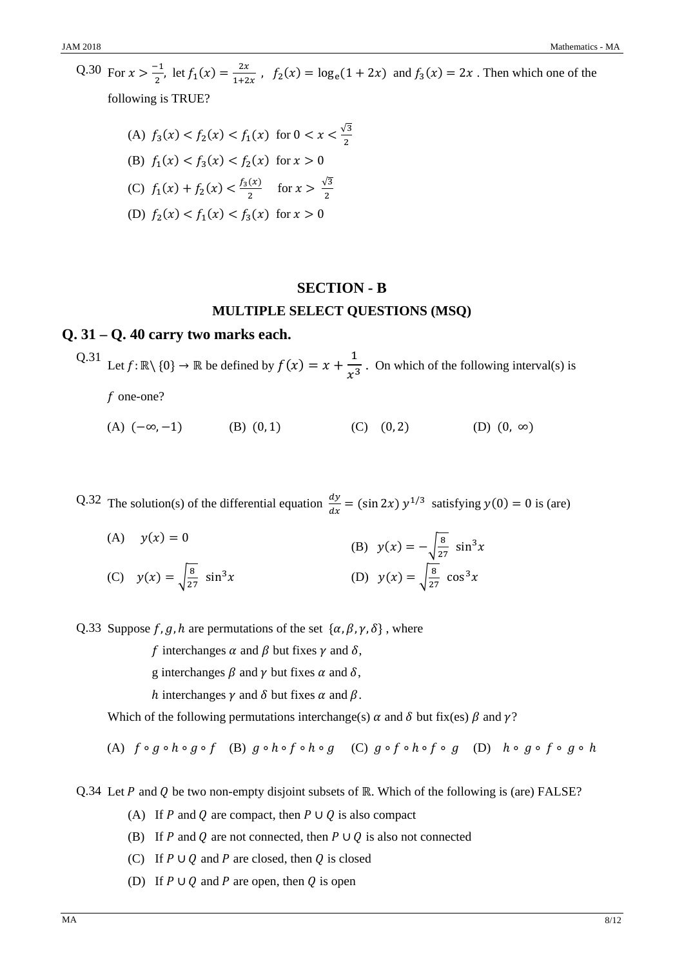$Q.30$  For  $x > \frac{-1}{2}$ , let  $f_1(x) = \frac{2x}{1+2x}$ ,  $f_2(x) = \log_e(1 + 2x)$  and  $f_3(x) = 2x$ . Then which one of the following is TRUE?

(A) 
$$
f_3(x) < f_2(x) < f_1(x)
$$
 for  $0 < x < \frac{\sqrt{3}}{2}$ 

\n(B)  $f_1(x) < f_3(x) < f_2(x)$  for  $x > 0$ 

\n(C)  $f_1(x) + f_2(x) < \frac{f_3(x)}{2}$  for  $x > \frac{\sqrt{3}}{2}$ 

\n(D)  $f_2(x) < f_1(x) < f_3(x)$  for  $x > 0$ 

## **SECTION - B**

#### **MULTIPLE SELECT QUESTIONS (MSQ)**

#### **Q. 31 – Q. 40 carry two marks each.**

Q.31 Let  $f: \mathbb{R} \setminus \{0\} \to \mathbb{R}$  be defined by  $f(x) = x + \frac{1}{x^3}$ . On which of the following interval(s) is  $f$  one-one?

(A)  $(-\infty, -1)$  (B)  $(0, 1)$  (C)  $(0, 2)$  (D)  $(0, \infty)$ 

Q.32 The solution(s) of the differential equation  $\frac{dy}{dx} = (\sin 2x) y^{1/3}$  satisfying  $y(0) = 0$  is (are)

 $(A)$   $y(x) = 0$ (B)  $y(x) = -\sqrt{\frac{8}{27}} \sin^3 x$ (C)  $y(x) = \sqrt{\frac{8}{27}}$  $\sin^3 x$  (D)  $y(x) = \sqrt{\frac{8}{27}} \cos^3 x$ 

Q.33 Suppose  $f$ ,  $g$ ,  $h$  are permutations of the set  $\{\alpha, \beta, \gamma, \delta\}$ , where

f interchanges  $\alpha$  and  $\beta$  but fixes  $\gamma$  and  $\delta$ ,

- g interchanges  $\beta$  and  $\gamma$  but fixes  $\alpha$  and  $\delta$ ,
- h interchanges  $\gamma$  and  $\delta$  but fixes  $\alpha$  and  $\beta$ .

Which of the following permutations interchange(s)  $\alpha$  and  $\delta$  but fix(es)  $\beta$  and  $\gamma$ ?

(A)  $f \circ g \circ h \circ g \circ f$  (B)  $g \circ h \circ f \circ h \circ g$  (C)  $g \circ f \circ h \circ f \circ g$  (D)  $h \circ g \circ f \circ g \circ h$ 

Q.34 Let P and Q be two non-empty disjoint subsets of ℝ. Which of the following is (are) FALSE?

- (A) If P and Q are compact, then  $P \cup Q$  is also compact
- (B) If P and Q are not connected, then  $P \cup Q$  is also not connected
- (C) If  $P \cup Q$  and  $P$  are closed, then  $Q$  is closed
- (D) If  $P \cup Q$  and  $P$  are open, then  $Q$  is open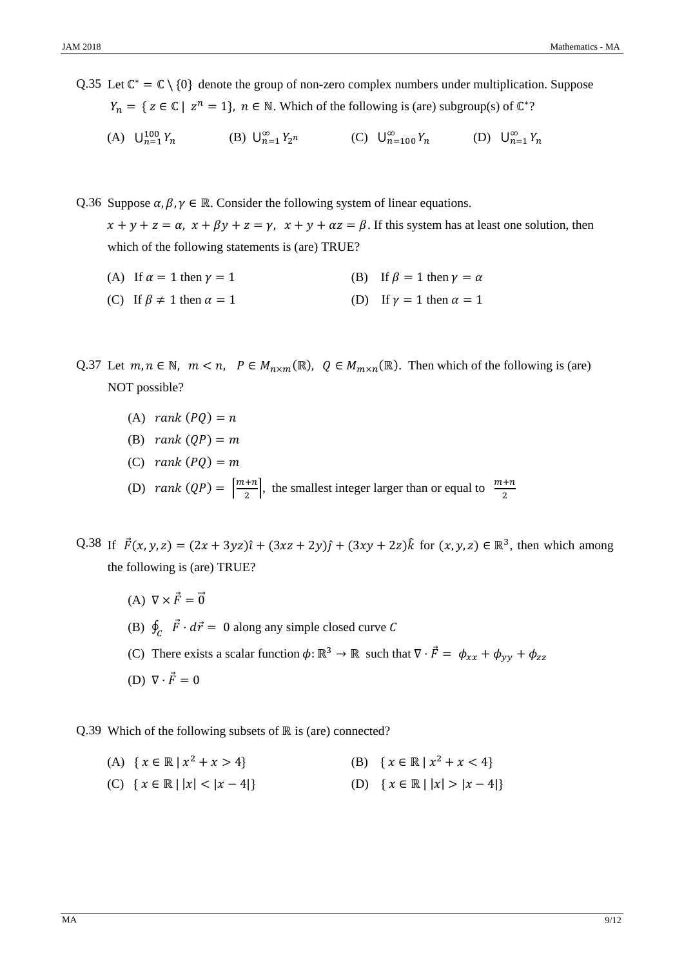Q.35 Let  $\mathbb{C}^* = \mathbb{C} \setminus \{0\}$  denote the group of non-zero complex numbers under multiplication. Suppose  $Y_n = \{ z \in \mathbb{C} \mid z^n = 1 \}, \ n \in \mathbb{N}$ . Which of the following is (are) subgroup(s) of  $\mathbb{C}^*$ ?

(A)  $\bigcup_{n=1}^{100} Y_n$  $^{100}_{n=1} Y_n$  (B)  $\bigcup_{n=1}^{\infty} Y_{2^n}$  (C)  $\bigcup_{n=100}^{\infty} Y_n$  (D)  $\bigcup_{n=1}^{\infty} Y_n$ 

Q.36 Suppose  $\alpha, \beta, \gamma \in \mathbb{R}$ . Consider the following system of linear equations.  $x + y + z = \alpha$ ,  $x + \beta y + z = \gamma$ ,  $x + y + \alpha z = \beta$ . If this system has at least one solution, then which of the following statements is (are) TRUE?

- (A) If  $\alpha = 1$  then  $\gamma = 1$  (B) If  $\beta = 1$  then  $\gamma = \alpha$
- (C) If  $\beta \neq 1$  then  $\alpha = 1$  (D) If  $\gamma = 1$  then  $\alpha = 1$

Q.37 Let  $m, n \in \mathbb{N}$ ,  $m < n$ ,  $P \in M_{n \times m}(\mathbb{R})$ ,  $Q \in M_{m \times n}(\mathbb{R})$ . Then which of the following is (are) NOT possible?

- (A)  $rank(PQ) = n$
- (B)  $rank (OP) = m$
- $(C)$  rank  $(PQ) = m$
- (D)  $rank(QP) = \left[\frac{m+n}{2}\right]$ , the smallest integer larger than or equal to  $\frac{m+n}{2}$
- $Q.38$  If  $\vec{F}(x, y, z) = (2x + 3yz)\hat{i} + (3xz + 2y)\hat{j} + (3xy + 2z)\hat{k}$  for  $(x, y, z) \in \mathbb{R}^3$ , then which among the following is (are) TRUE?
	- (A)  $\nabla \times \vec{F} = \vec{0}$
	- (B)  $\oint_C \vec{F} \cdot d\vec{r} = 0$  along any simple closed curve C

(C) There exists a scalar function  $\phi: \mathbb{R}^3 \to \mathbb{R}$  such that  $\nabla \cdot \vec{F} = \phi_{xx} + \phi_{yy} + \phi_{zz}$ 

(D)  $\nabla \cdot \vec{F} = 0$ 

Q.39 Which of the following subsets of ℝ is (are) connected?

- $(A) \{ x \in \mathbb{R} \mid x^2 + x > 4 \}$  (B)  $\{ x \in \mathbb{R} \mid x^2 + x < 4 \}$
- $(C) \{ x \in \mathbb{R} \mid |x| < |x 4| \}$  (D)  $\{ x \in \mathbb{R} \mid |x| > |x 4| \}$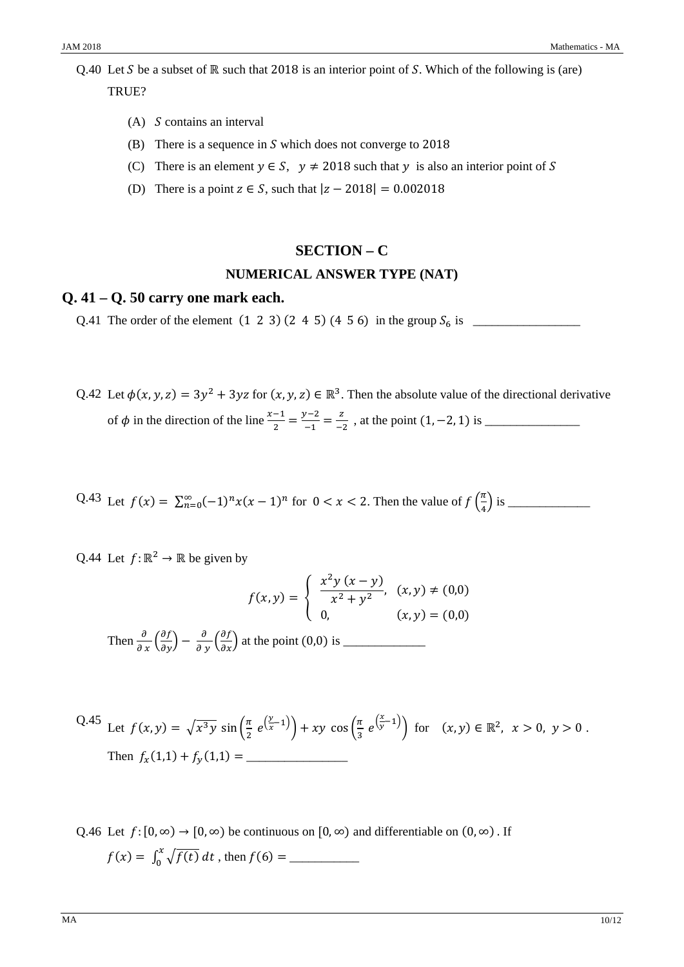Q.40 Let S be a subset of ℝ such that 2018 is an interior point of S. Which of the following is (are) TRUE?

- $(A)$  *S* contains an interval
- (B) There is a sequence in  $S$  which does not converge to 2018
- (C) There is an element  $y \in S$ ,  $y \neq 2018$  such that y is also an interior point of S
- (D) There is a point  $z \in S$ , such that  $|z 2018| = 0.002018$

## **SECTION – C**

#### **NUMERICAL ANSWER TYPE (NAT)**

#### **Q. 41 – Q. 50 carry one mark each.**

Q.41 The order of the element (1 2 3) (245) (4 5 6) in the group ܵ is \_\_\_\_\_\_\_\_\_\_\_\_\_\_\_\_\_

Q.42 Let  $\phi(x, y, z) = 3y^2 + 3yz$  for  $(x, y, z) \in \mathbb{R}^3$ . Then the absolute value of the directional derivative of ߶ in the direction of the line ௫ିଵ <sup>ଶ</sup> <sup>=</sup> ௬ିଶ ିଵ <sup>=</sup> <sup>௭</sup> ିଶ , at the point (1, −2, 1) is \_\_\_\_\_\_\_\_\_\_\_\_\_\_\_

Q.43 Let  $f(x) = \sum_{n=0}^{\infty} (-1)^n x(x-1)^n$  for  $0 < x < 2$ . Then the value of  $f\left(\frac{\pi}{4}\right)$ ସ ቁ is \_\_\_\_\_\_\_\_\_\_\_\_\_

Q.44 Let  $f: \mathbb{R}^2 \to \mathbb{R}$  be given by

$$
f(x,y) = \begin{cases} \frac{x^2 y (x - y)}{x^2 + y^2}, & (x, y) \neq (0,0) \\ 0, & (x, y) = (0,0) \end{cases}
$$

Then <sup>డ</sup> డ ௫ <sup>ቀ</sup> డ డ௬<sup>ቁ</sup> <sup>−</sup> <sup>డ</sup> డ ௬ <sup>ቀ</sup> డ డ௫ቁ at the point (0,0) is \_\_\_\_\_\_\_\_\_\_\_\_\_

Q.45 Let 
$$
f(x, y) = \sqrt{x^3 y} \sin\left(\frac{\pi}{2} e^{\left(\frac{y}{x} - 1\right)}\right) + xy \cos\left(\frac{\pi}{3} e^{\left(\frac{x}{y} - 1\right)}\right)
$$
 for  $(x, y) \in \mathbb{R}^2$ ,  $x > 0$ ,  $y > 0$ .  
Then  $f_x(1, 1) + f_y(1, 1) =$ 

Q.46 Let  $f: [0, \infty) \to [0, \infty)$  be continuous on  $[0, \infty)$  and differentiable on  $(0, \infty)$ . If  $f(x) = \int_0^x \sqrt{f(t)} dt$ , then  $f(6) =$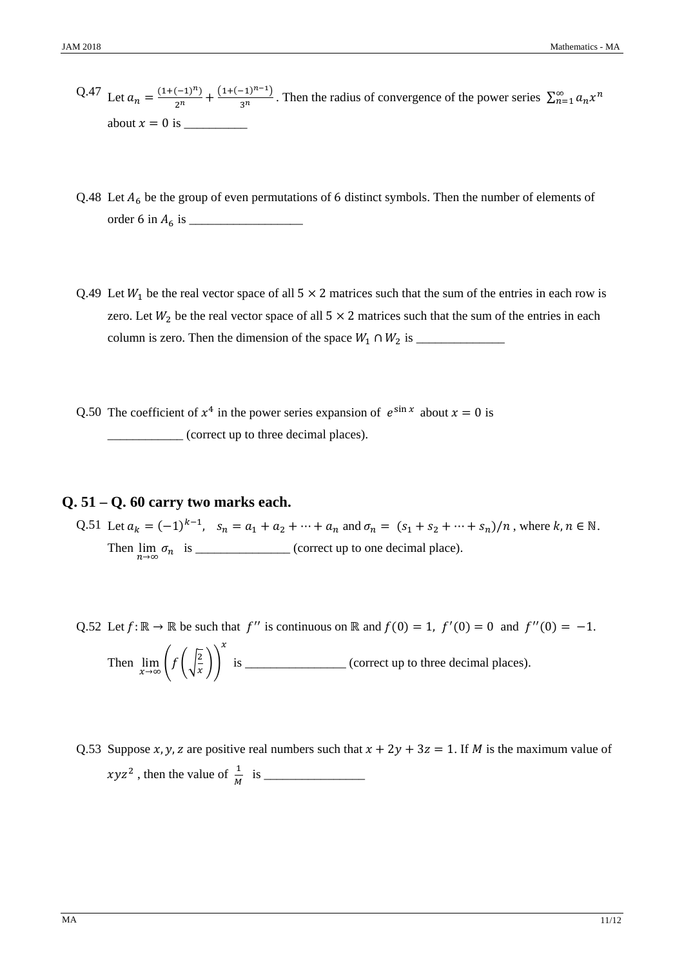- $Q.47$  Let  $a_n = \frac{(1+(-1)^n)}{2^n} + \frac{(1+(-1)^{n-1})}{3^n}$ . Then the radius of convergence of the power series  $\sum_{n=1}^{\infty} a_n x^n$ about ݔ=0 is \_\_\_\_\_\_\_\_\_\_
- Q.48 Let  $A_6$  be the group of even permutations of 6 distinct symbols. Then the number of elements of order 6 in ܣ is \_\_\_\_\_\_\_\_\_\_\_\_\_\_\_\_\_\_
- Q.49 Let  $W_1$  be the real vector space of all  $5 \times 2$  matrices such that the sum of the entries in each row is zero. Let  $W_2$  be the real vector space of all 5  $\times$  2 matrices such that the sum of the entries in each column is zero. Then the dimension of the space ܹଵ ∩ ܹଶ is \_\_\_\_\_\_\_\_\_\_\_\_\_\_
- Q.50 The coefficient of  $x^4$  in the power series expansion of  $e^{\sin x}$  about  $x=0$  is \_\_\_\_\_\_\_\_\_\_\_\_ (correct up to three decimal places).

# **Q. 51 – Q. 60 carry two marks each.**

- Q.51 Let  $a_k = (-1)^{k-1}$ ,  $s_n = a_1 + a_2 + \cdots + a_n$  and  $\sigma_n = (s_1 + s_2 + \cdots + s_n)/n$ , where  $k, n \in \mathbb{N}$ . Then  $\lim_{n \to \infty} \sigma_n$  is \_\_\_\_\_\_\_\_\_\_\_\_\_\_\_\_ (correct up to one decimal place).
- Q.52 Let  $f: \mathbb{R} \to \mathbb{R}$  be such that  $f''$  is continuous on  $\mathbb{R}$  and  $f(0) = 1$ ,  $f'(0) = 0$  and  $f''(0) = -1$ . Then lim௫→ஶ ൭݂ ቆට<sup>ଶ</sup> ௫ ቇ൱௫ is \_\_\_\_\_\_\_\_\_\_\_\_\_\_\_\_ (correct up to three decimal places).
- Q.53 Suppose x, y, z are positive real numbers such that  $x + 2y + 3z = 1$ . If *M* is the maximum value of ݖݕݔଶ , then the value of <sup>ଵ</sup> ெ is \_\_\_\_\_\_\_\_\_\_\_\_\_\_\_\_